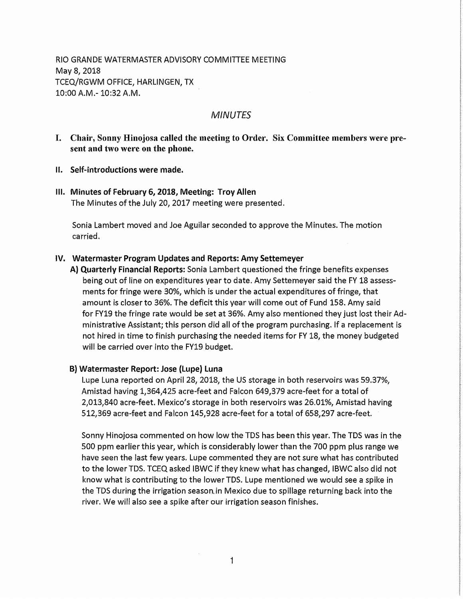RIO GRANDE WATERMASTER ADVISORY COMMITTEE MEETING May 8, 2018 TCEQ/RGWM OFFICE, HARLINGEN, TX 10:00 A.M.-10:32 A.M.

# MINUTES

- I. Chair , Sonny Hinojosa called the meeting to Order. Six Committee members were present a nd two were on the phone.
- II. Self-introductions were made.
- Ill. Minutes of February **6, 2018,** Meeting: Troy Allen The Minutes of the July 20, 2017 meeting were presented.

Sonia Lambert moved and Joe Aguilar seconded to approve the Minutes. The motion carried.

# **IV. Watermaster Program Updates and Reports: Amy Settemeyer**

**A) Quarterly Financial Reports:** Sonia Lambert questioned the fringe benefits expenses being out of line on expenditures year to date. Amy Settemeyer said the FY 18 assessments for fringe were 30%, which is under t he actual expenditures of fringe, that amount is closer to 36%. The deficit this yea r will come out of Fund 158. Amy said for FY19 the fringe rate would be set at 36% . Amy also mentioned they just lost their Administrative Assistant; this person did all of the program purchasing. If a replacement is not hired in time to finish purchasing the needed items for FY 18, the money budgete d will be carried over into the FY19 budget.

# **B) Watermaster Report: Jose (Lupe) Luna**

Lupe Luna reported on April 28, 2018, the US storage in both reservoirs was 59.37%, Amistad having 1,364,425 acre-feet and Falcon 649,379 acre-feet for a total of 2,0131840 acre-feet. Mexico's storage in both reservoirs was 26.01%, Amistad having 512,369 acre-feet and Falcon 145,928 acre-feet for a total of 658,297 acre-feet.

Sonny Hinojosa commented on how low the TDS has been this year. The TDS was in the 500 ppm earlier this year, which is considerably lower than the 700 ppm plus range we have seen the last few years. Lupe commented they are not sure what has contributed to the lowerTDS. TCEQ asked IBWC if they knew what has changed, IBWC also did not know what is contributing to the lower TDS. Lupe mentioned we would see a spike in the TDS during the irrigation season.in Mexico due to spillage returning back into the river. We will also see a spike after our irrigation season finishes.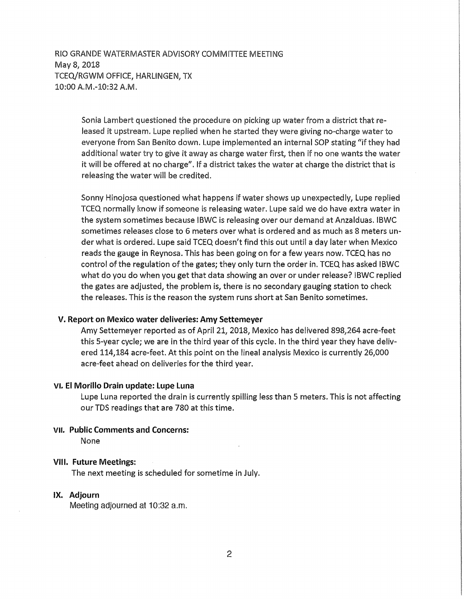RIO GRANDE WATERMASTER ADVISORY COMMITTEE MEETING May 8, 2018 TCEQ/RGWM OFFICE, HARLINGEN, TX 10:00 A.M.-10:32 A.M.

> Sonia Lambert questioned the procedure on picking up water from a district that released it upstream. Lupe replied when he started they were giving no-charge water to everyone from San Benito down. Lupe implemented an internal SOP stating "if they had additional water try to give it away as charge water first, then if no one wants the water it will be offered at no charge". If a district takes the water at charge the district that is releasing the water will be credited.

> Sonny Hinojosa questioned what happens if water shows up unexpectedly, Lupe replied TCEQ normally know if someone is releasing water. Lupe said we do have extra water in the system sometimes because IBWC is releasing over our demand at Anzalduas. IBWC sometimes releases close to 6 meters over what is ordered and as much as 8 meters under what is ordered. Lupe said TCEQ doesn't find this out until a day later when Mexico reads the gauge in Reynosa. This has been going on for a few years now. TCEQ has no control of the regulation of the gates; they only turn the order in. TCEQ has asked IBWC what do you do when you get that data showing an over or under release? lBWC replied the gates are adjusted, the problem is, there is no secondary gauging station to check the releases. This is the reason the system runs short at San Benito sometimes.

#### **V. Report on Mexico water deliveries: Amy Settemeyer**

Amy Settemeyer reported as of April 21, 2018, Mexico has delivered 898,264 acre-feet this 5-year cycle; we are in the third year of this cycle. In the third year they have delivered 114,184 acre-feet. At this point on the lineal analysis Mexico is currently 26,000 acre-feet ahead on deliveries for the third year.

# VI. El **Morillo** Drain update: **Lupe** Luna

Lupe Luna reported the drain is currently spilling less than 5 meters. This is not affecting our TDS readings that are 780 at this time.

# VII. **Public Comments and Concerns:**

None

#### **VIII. Future Meetings:**

The next meeting is scheduled for sometime in July.

# IX. Adjourn

Meeting adjourned at 10:32 a.m.